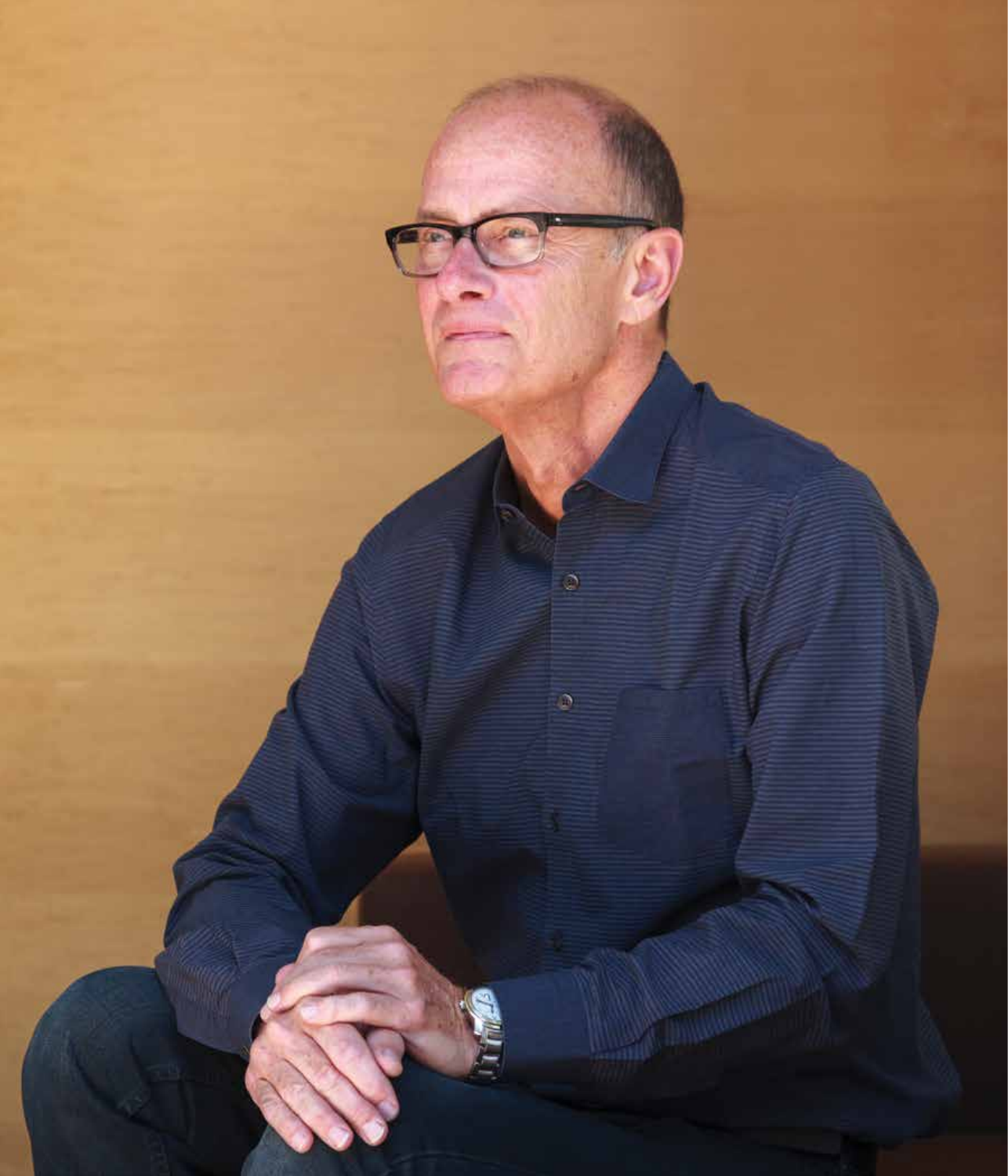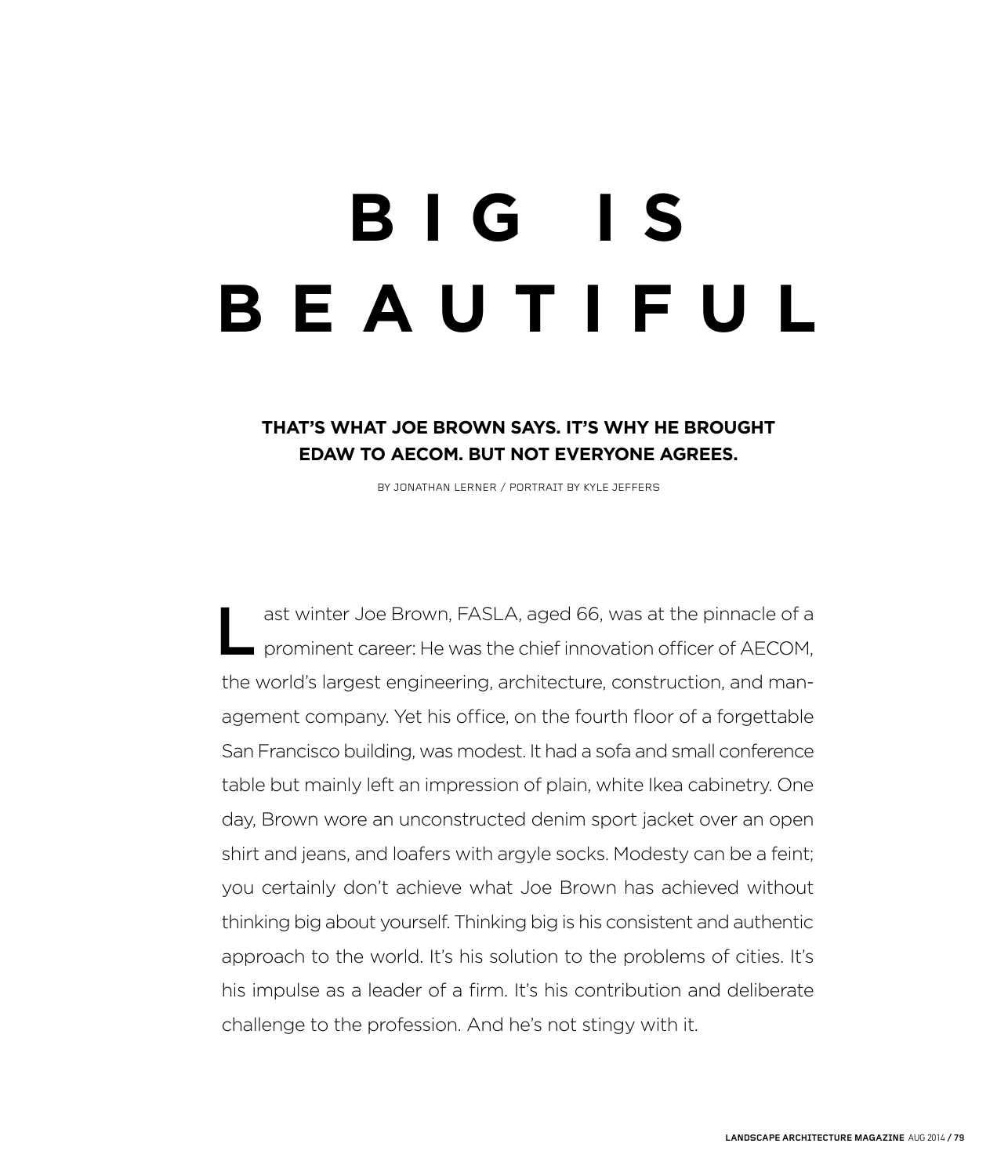## **B I G I S BEAUTIFUL**

## **THAT'S WHAT JOE BROWN SAYS. IT'S WHY HE BROUGHT EDAW TO AECOM. BUT NOT EVERYONE AGREES.**

BY JONATHAN LERNER / PORTRAIT BY KYLE JEFFERS

ast winter Joe Brown, FASLA, aged 66, was at the pinnacle of a **prominent career: He was the chief innovation officer of AECOM,** the world's largest engineering, architecture, construction, and management company. Yet his office, on the fourth floor of a forgettable San Francisco building, was modest. It had a sofa and small conference table but mainly left an impression of plain, white Ikea cabinetry. One day, Brown wore an unconstructed denim sport jacket over an open shirt and jeans, and loafers with argyle socks. Modesty can be a feint; you certainly don't achieve what Joe Brown has achieved without thinking big about yourself. Thinking big is his consistent and authentic approach to the world. It's his solution to the problems of cities. It's his impulse as a leader of a firm. It's his contribution and deliberate challenge to the profession. And he's not stingy with it.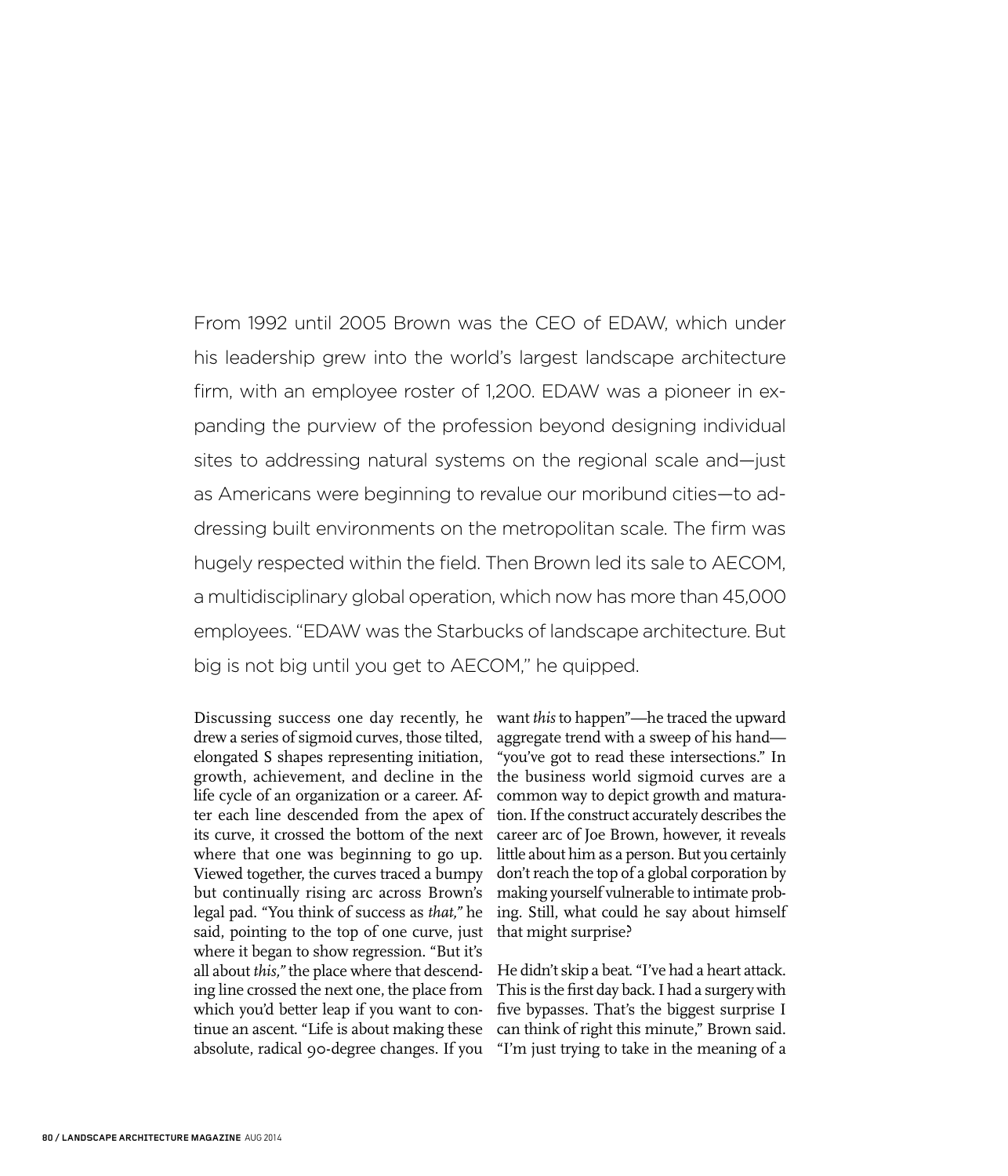From 1992 until 2005 Brown was the CEO of EDAW, which under his leadership grew into the world's largest landscape architecture firm, with an employee roster of 1,200. EDAW was a pioneer in expanding the purview of the profession beyond designing individual sites to addressing natural systems on the regional scale and—just as Americans were beginning to revalue our moribund cities—to addressing built environments on the metropolitan scale. The firm was hugely respected within the field. Then Brown led its sale to AECOM, a multidisciplinary global operation, which now has more than 45,000 employees. "EDAW was the Starbucks of landscape architecture. But big is not big until you get to AECOM," he quipped.

Discussing success one day recently, he drew a series of sigmoid curves, those tilted, elongated S shapes representing initiation, growth, achievement, and decline in the life cycle of an organization or a career. After each line descended from the apex of its curve, it crossed the bottom of the next where that one was beginning to go up. Viewed together, the curves traced a bumpy but continually rising arc across Brown's legal pad. "You think of success as *that,"* he said, pointing to the top of one curve, just where it began to show regression. "But it's all about *this,"* the place where that descending line crossed the next one, the place from which you'd better leap if you want to continue an ascent. "Life is about making these absolute, radical 90-degree changes. If you

want *this* to happen"—he traced the upward aggregate trend with a sweep of his hand— "you've got to read these intersections." In the business world sigmoid curves are a common way to depict growth and maturation. If the construct accurately describes the career arc of Joe Brown, however, it reveals little about him as a person. But you certainly don't reach the top of a global corporation by making yourself vulnerable to intimate probing. Still, what could he say about himself that might surprise?

He didn't skip a beat. "I've had a heart attack. This is the first day back. I had a surgery with five bypasses. That's the biggest surprise I can think of right this minute," Brown said. "I'm just trying to take in the meaning of a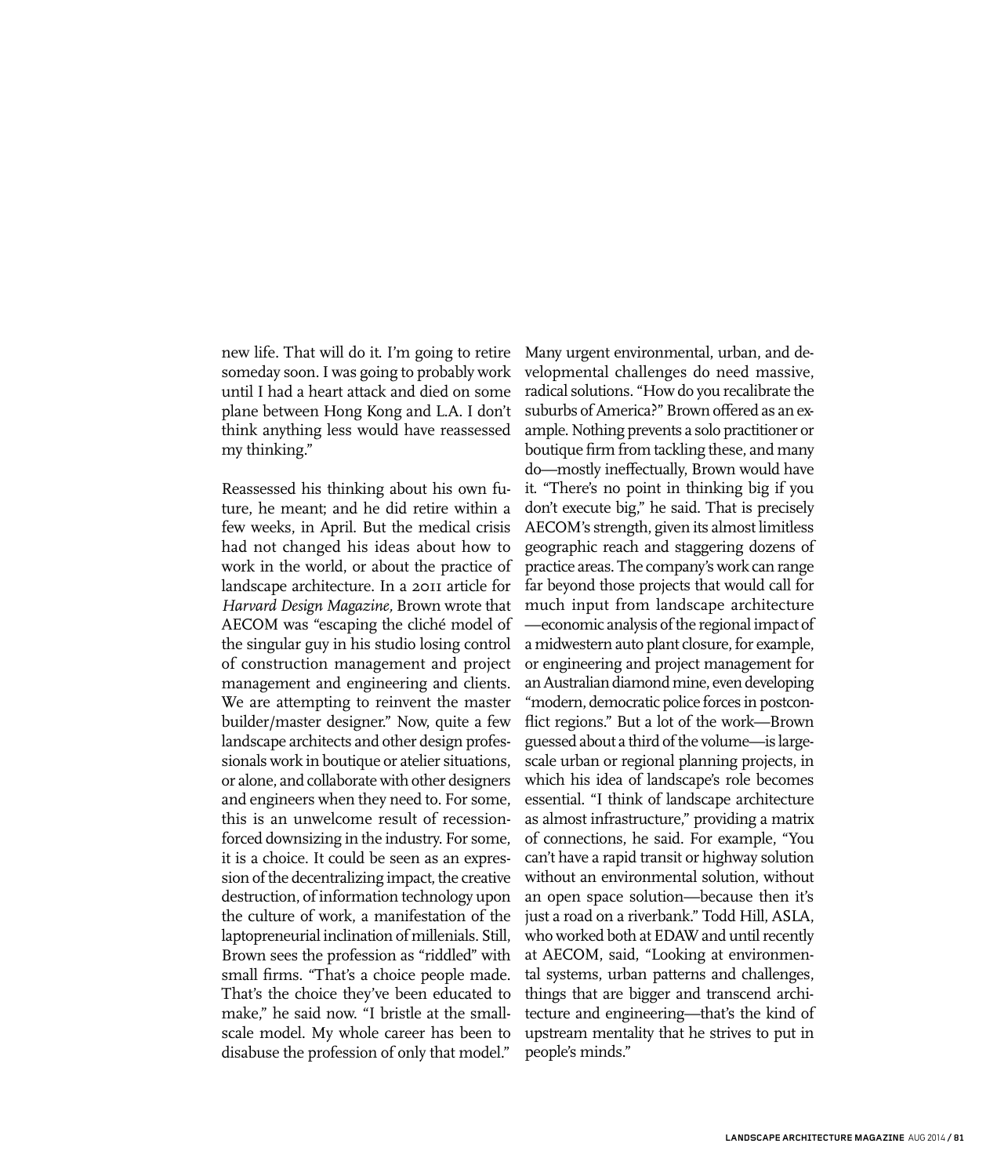new life. That will do it. I'm going to retire someday soon. I was going to probably work until I had a heart attack and died on some plane between Hong Kong and L.A. I don't think anything less would have reassessed my thinking."

Reassessed his thinking about his own future, he meant; and he did retire within a few weeks, in April. But the medical crisis had not changed his ideas about how to work in the world, or about the practice of landscape architecture. In a 2011 article for *Harvard Design Magazine,* Brown wrote that AECOM was "escaping the cliché model of the singular guy in his studio losing control of construction management and project management and engineering and clients. We are attempting to reinvent the master builder/master designer." Now, quite a few landscape architects and other design professionals work in boutique or atelier situations, or alone, and collaborate with other designers and engineers when they need to. For some, this is an unwelcome result of recessionforced downsizing in the industry. For some, it is a choice. It could be seen as an expression of the decentralizing impact, the creative destruction, of information technology upon the culture of work, a manifestation of the laptopreneurial inclination of millenials. Still, Brown sees the profession as "riddled" with small firms. "That's a choice people made. That's the choice they've been educated to make," he said now. "I bristle at the smallscale model. My whole career has been to disabuse the profession of only that model."

Many urgent environmental, urban, and developmental challenges do need massive, radical solutions. "How do you recalibrate the suburbs of America?" Brown offered as an example. Nothing prevents a solo practitioner or boutique firm from tackling these, and many do—mostly ineffectually, Brown would have it. "There's no point in thinking big if you don't execute big," he said. That is precisely AECOM's strength, given its almost limitless geographic reach and staggering dozens of practice areas. The company's work can range far beyond those projects that would call for much input from landscape architecture —economic analysis of the regional impact of a midwestern auto plant closure, for example, or engineering and project management for an Australian diamond mine, even developing "modern, democratic police forces in postconflict regions." But a lot of the work—Brown guessed about a third of the volume—is largescale urban or regional planning projects, in which his idea of landscape's role becomes essential. "I think of landscape architecture as almost infrastructure," providing a matrix of connections, he said. For example, "You can't have a rapid transit or highway solution without an environmental solution, without an open space solution—because then it's just a road on a riverbank." Todd Hill, ASLA, who worked both at EDAW and until recently at AECOM, said, "Looking at environmental systems, urban patterns and challenges, things that are bigger and transcend architecture and engineering—that's the kind of upstream mentality that he strives to put in people's minds."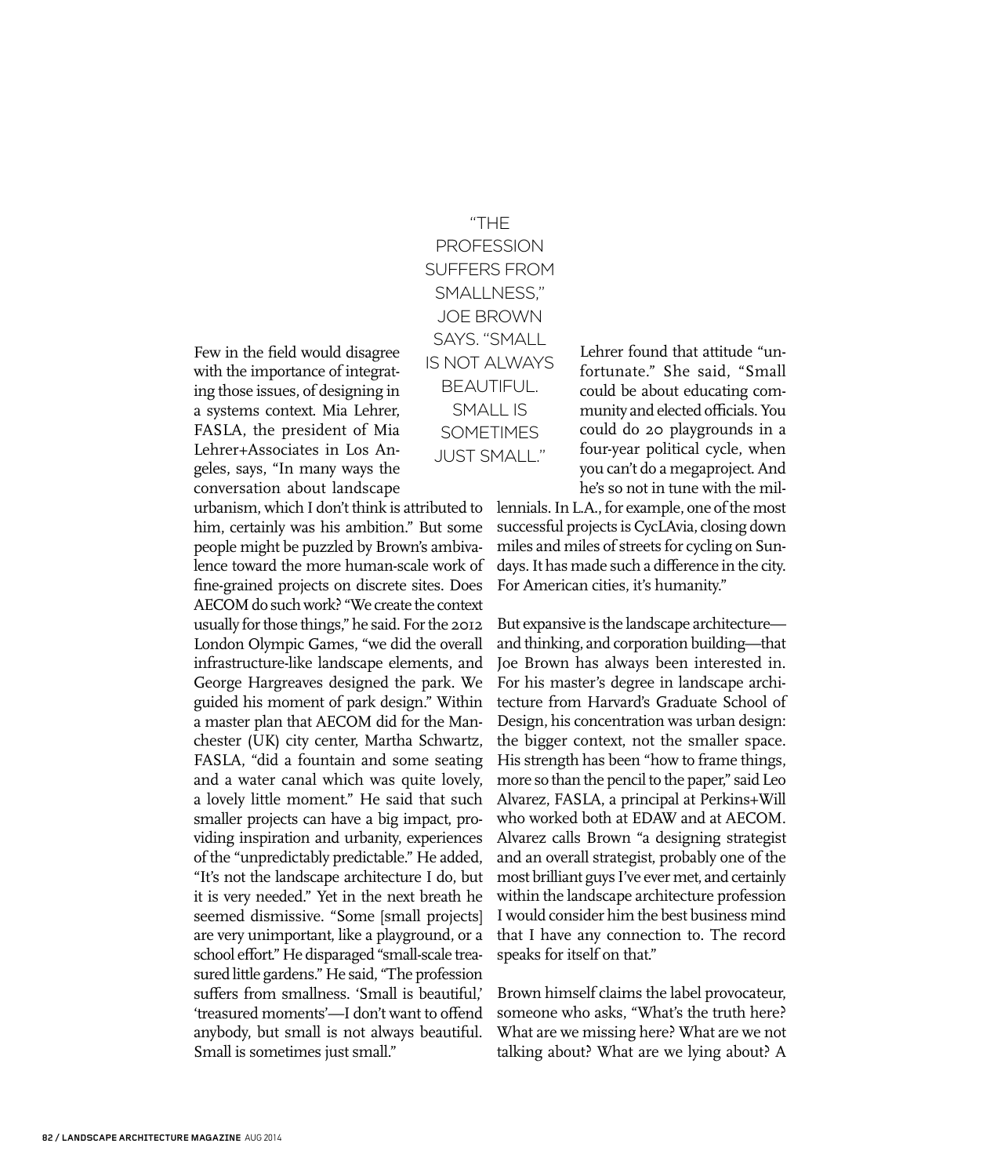PROFESSION SUFFERS FROM SMALLNESS," JOE BROWN SAYS. "SMALL IS NOT ALWAYS BEAUTIFUL. SMALL IS SOMETIMES JUST SMALL."

"THE

Few in the field would disagree with the importance of integrating those issues, of designing in a systems context. Mia Lehrer, FASLA, the president of Mia Lehrer+Associates in Los Angeles, says, "In many ways the conversation about landscape

urbanism, which I don't think is attributed to him, certainly was his ambition." But some people might be puzzled by Brown's ambivalence toward the more human-scale work of fine-grained projects on discrete sites. Does AECOM do such work? "We create the context usually for those things," he said. For the 2012 London Olympic Games, "we did the overall infrastructure-like landscape elements, and George Hargreaves designed the park. We guided his moment of park design." Within a master plan that AECOM did for the Manchester (UK) city center, Martha Schwartz, FASLA, "did a fountain and some seating and a water canal which was quite lovely, a lovely little moment." He said that such smaller projects can have a big impact, providing inspiration and urbanity, experiences of the "unpredictably predictable." He added, "It's not the landscape architecture I do, but it is very needed." Yet in the next breath he seemed dismissive. "Some [small projects] are very unimportant, like a playground, or a school effort." He disparaged "small-scale treasured little gardens." He said, "The profession suffers from smallness. 'Small is beautiful' 'treasured moments'—I don't want to offend anybody, but small is not always beautiful. Small is sometimes just small."

Lehrer found that attitude "unfortunate." She said, "Small could be about educating community and elected officials. You could do 20 playgrounds in a four-year political cycle, when you can't do a megaproject. And he's so not in tune with the mil-

lennials. In L.A., for example, one of the most successful projects is CycLAvia, closing down miles and miles of streets for cycling on Sundays. It has made such a difference in the city. For American cities, it's humanity."

But expansive is the landscape architecture and thinking, and corporation building—that Joe Brown has always been interested in. For his master's degree in landscape architecture from Harvard's Graduate School of Design, his concentration was urban design: the bigger context, not the smaller space. His strength has been "how to frame things, more so than the pencil to the paper," said Leo Alvarez, FASLA, a principal at Perkins+Will who worked both at EDAW and at AECOM. Alvarez calls Brown "a designing strategist and an overall strategist, probably one of the most brilliant guys I've ever met, and certainly within the landscape architecture profession I would consider him the best business mind that I have any connection to. The record speaks for itself on that."

Brown himself claims the label provocateur, someone who asks, "What's the truth here? What are we missing here? What are we not talking about? What are we lying about? A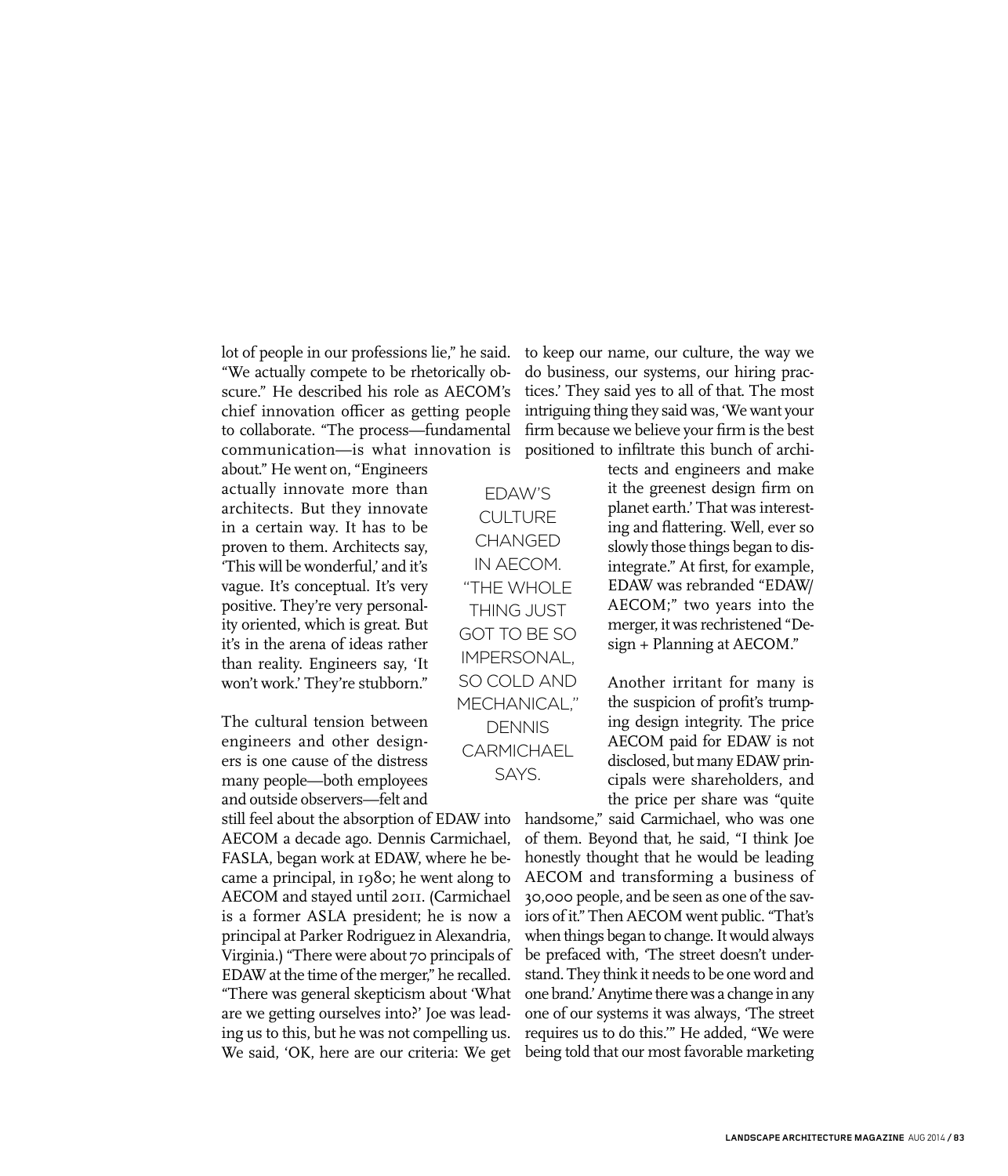lot of people in our professions lie," he said. "We actually compete to be rhetorically obscure." He described his role as AECOM's chief innovation officer as getting people to collaborate. "The process—fundamental communication—is what innovation is

about." He went on, "Engineers actually innovate more than architects. But they innovate in a certain way. It has to be proven to them. Architects say, 'This will be wonderful,' and it's vague. It's conceptual. It's very positive. They're very personality oriented, which is great. But it's in the arena of ideas rather than reality. Engineers say, 'It won't work.' They're stubborn."

The cultural tension between engineers and other designers is one cause of the distress many people—both employees and outside observers—felt and

still feel about the absorption of EDAW into AECOM a decade ago. Dennis Carmichael, FASLA, began work at EDAW, where he became a principal, in 1980; he went along to AECOM and stayed until 2011. (Carmichael is a former ASLA president; he is now a principal at Parker Rodriguez in Alexandria, Virginia.) "There were about 70 principals of EDAW at the time of the merger," he recalled. "There was general skepticism about 'What are we getting ourselves into?' Joe was leading us to this, but he was not compelling us. We said, 'OK, here are our criteria: We get

to keep our name, our culture, the way we do business, our systems, our hiring practices.' They said yes to all of that. The most intriguing thing they said was, 'We want your firm because we believe your firm is the best positioned to infiltrate this bunch of archi-

EDAW'S **CULTURE CHANGED** IN AECOM. "THE WHOLE THING JUST GOT TO BE SO IMPERSONAL, SO COLD AND MECHANICAL," **DENNIS CARMICHAEL** SAYS.

tects and engineers and make it the greenest design firm on planet earth.' That was interesting and flattering. Well, ever so slowly those things began to disintegrate." At first, for example, EDAW was rebranded "EDAW/ AECOM;" two years into the merger, it was rechristened "Design + Planning at AECOM."

Another irritant for many is the suspicion of profit's trumping design integrity. The price AECOM paid for EDAW is not disclosed, but many EDAW principals were shareholders, and the price per share was "quite

handsome," said Carmichael, who was one of them. Beyond that, he said, "I think Joe honestly thought that he would be leading AECOM and transforming a business of 30,000 people, and be seen as one of the saviors of it." Then AECOM went public. "That's when things began to change. It would always be prefaced with, 'The street doesn't understand. They think it needs to be one word and one brand.' Anytime there was a change in any one of our systems it was always, 'The street requires us to do this.'" He added, "We were being told that our most favorable marketing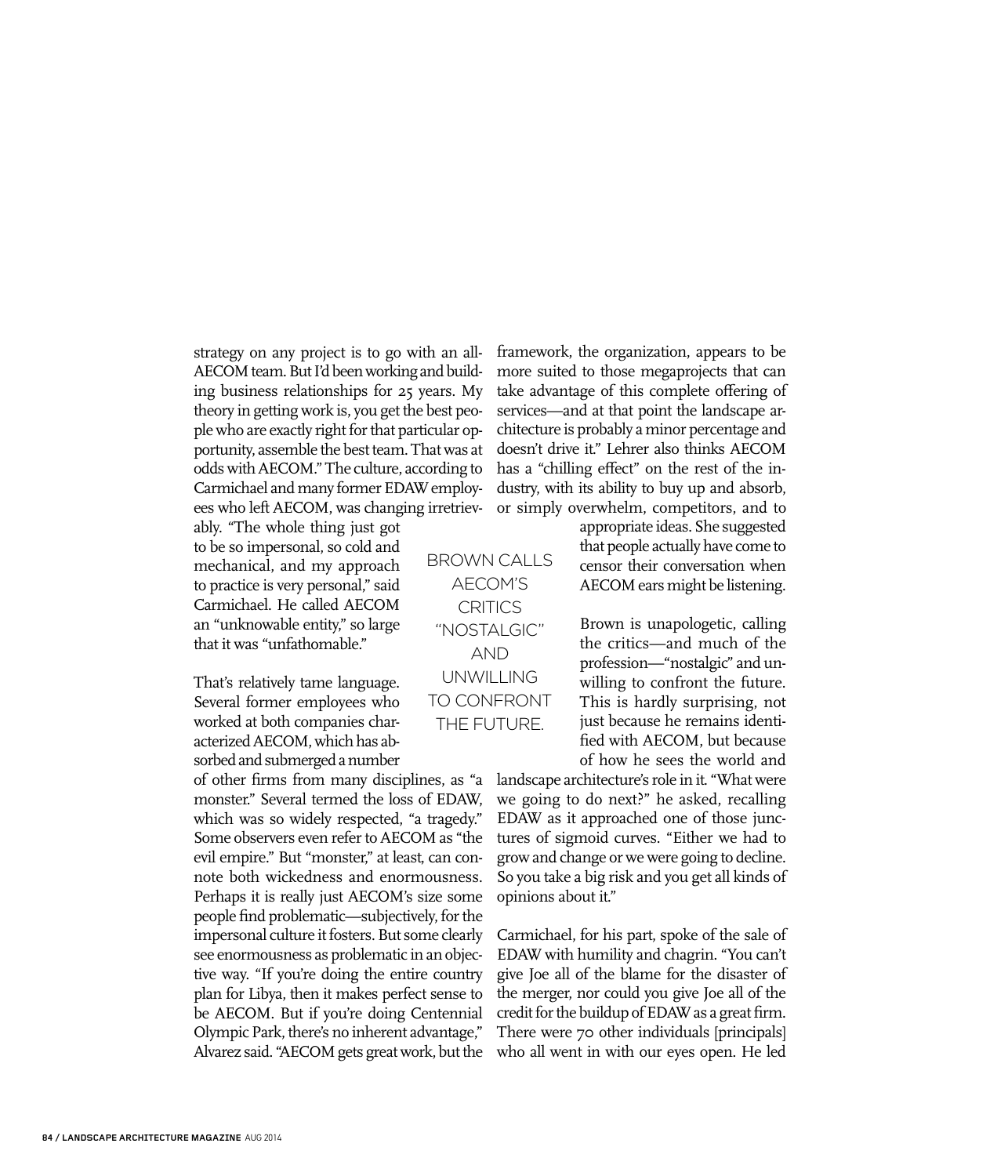strategy on any project is to go with an all-AECOM team. But I'd been working and building business relationships for 25 years. My theory in getting work is, you get the best people who are exactly right for that particular opportunity, assemble the best team. That was at odds with AECOM." The culture, according to Carmichael and many former EDAW employees who left AECOM, was changing irretriev-

ably. "The whole thing just got to be so impersonal, so cold and mechanical, and my approach to practice is very personal," said Carmichael. He called AECOM an "unknowable entity," so large that it was "unfathomable."

That's relatively tame language. Several former employees who worked at both companies characterized AECOM, which has absorbed and submerged a number

of other firms from many disciplines, as "a monster." Several termed the loss of EDAW, which was so widely respected, "a tragedy." Some observers even refer to AECOM as "the evil empire." But "monster," at least, can connote both wickedness and enormousness. Perhaps it is really just AECOM's size some people find problematic—subjectively, for the impersonal culture it fosters. But some clearly see enormousness as problematic in an objective way. "If you're doing the entire country plan for Libya, then it makes perfect sense to be AECOM. But if you're doing Centennial Olympic Park, there's no inherent advantage," Alvarez said. "AECOM gets great work, but the framework, the organization, appears to be more suited to those megaprojects that can take advantage of this complete offering of services—and at that point the landscape architecture is probably a minor percentage and doesn't drive it." Lehrer also thinks AECOM has a "chilling effect" on the rest of the industry, with its ability to buy up and absorb, or simply overwhelm, competitors, and to

> appropriate ideas. She suggested that people actually have come to censor their conversation when AECOM ears might be listening.

> Brown is unapologetic, calling the critics—and much of the profession—"nostalgic" and unwilling to confront the future. This is hardly surprising, not just because he remains identified with AECOM, but because of how he sees the world and

landscape architecture's role in it. "What were we going to do next?" he asked, recalling EDAW as it approached one of those junctures of sigmoid curves. "Either we had to grow and change or we were going to decline. So you take a big risk and you get all kinds of opinions about it."

Carmichael, for his part, spoke of the sale of EDAW with humility and chagrin. "You can't give Joe all of the blame for the disaster of the merger, nor could you give Joe all of the credit for the buildup of EDAW as a great firm. There were 70 other individuals [principals] who all went in with our eyes open. He led

AECOM'S **CRITICS** "NOSTALGIC" AND UNWILLING TO CONFRONT THE FUTURE.

BROWN CALLS